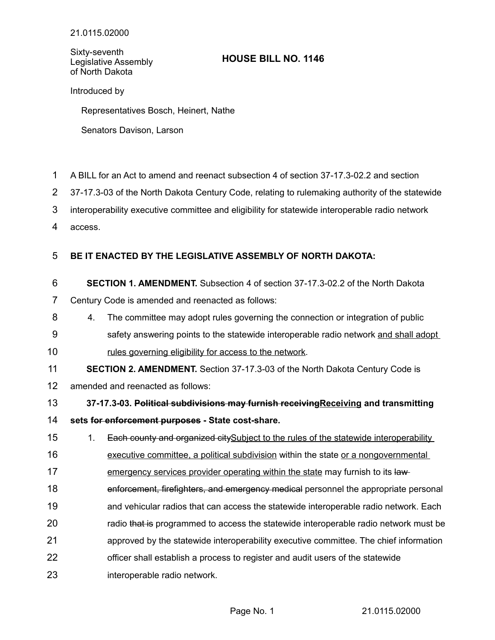Sixty-seventh Legislative Assembly of North Dakota

## **HOUSE BILL NO. 1146**

Introduced by

Representatives Bosch, Heinert, Nathe

Senators Davison, Larson

- A BILL for an Act to amend and reenact subsection 4 of section 37-17.3-02.2 and section 1
- 37-17.3-03 of the North Dakota Century Code, relating to rulemaking authority of the statewide 2
- interoperability executive committee and eligibility for statewide interoperable radio network 3
- access. 4

## **BE IT ENACTED BY THE LEGISLATIVE ASSEMBLY OF NORTH DAKOTA:** 5

- **SECTION 1. AMENDMENT.** Subsection 4 of section 37-17.3-02.2 of the North Dakota 6
- Century Code is amended and reenacted as follows: 7
- 4. The committee may adopt rules governing the connection or integration of public 8
- safety answering points to the statewide interoperable radio network and shall adopt rules governing eligibility for access to the network. 9 10

**SECTION 2. AMENDMENT.** Section 37-17.3-03 of the North Dakota Century Code is 11

amended and reenacted as follows: 12

**37-17.3-03. Political subdivisions may furnish receivingReceiving and transmitting sets for enforcement purposes - State cost-share.** 13 14

1. Each county and organized citySubject to the rules of the statewide interoperability 15

executive committee, a political subdivision within the state or a nongovernmental 16

emergency services provider operating within the state may furnish to its law-17

- enforcement, firefighters, and emergency medical personnel the appropriate personal 18
- and vehicular radios that can access the statewide interoperable radio network. Each 19
- radio that is programmed to access the statewide interoperable radio network must be 20
- approved by the statewide interoperability executive committee. The chief information 21
- officer shall establish a process to register and audit users of the statewide 22
- interoperable radio network. 23